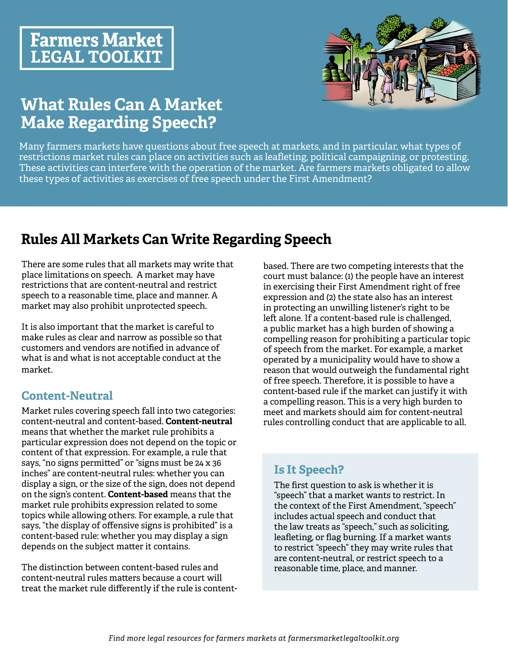# **Farmers Market LEGAL TOOLKIT**



# **What Rules Can A Market Make Regarding Speech?**

Many farmers markets have questions about free speech at markets, and in particular, what types of restrictions market rules can place on activities such as leafleting, political campaigning, or protesting. These activities can interfere with the operation of the market. Are farmers markets obligated to allow these types of activities as exercises of free speech under the First Amendment?

# **Rules All Markets Can Write Regarding Speech**

There are some rules that all markets may write that place limitations on speech. A market may have restrictions that are content-neutral and restrict speech to a reasonable time, place and manner. A market may also prohibit unprotected speech.

It is also important that the market is careful to make rules as clear and narrow as possible so that customers and vendors are notified in advance of what is and what is not acceptable conduct at the market.

## **Content-Neutral**

Market rules covering speech fall into two categories: content-neutral and content-based. **Content-neutral**  means that whether the market rule prohibits a particular expression does not depend on the topic or content of that expression. For example, a rule that says, "no signs permitted" or "signs must be 24 x 36 inches" are content-neutral rules: whether you can display a sign, or the size of the sign, does not depend on the sign's content. **Content-based** means that the market rule prohibits expression related to some topics while allowing others. For example, a rule that says, "the display of offensive signs is prohibited" is a content-based rule: whether you may display a sign depends on the subject matter it contains.

The distinction between content-based rules and content-neutral rules matters because a court will treat the market rule differently if the rule is content-

based. There are two competing interests that the court must balance: (1) the people have an interest in exercising their First Amendment right of free expression and (2) the state also has an interest in protecting an unwilling listener's right to be left alone. If a content-based rule is challenged, a public market has a high burden of showing a compelling reason for prohibiting a particular topic of speech from the market. For example, a market operated by a municipality would have to show a reason that would outweigh the fundamental right of free speech. Therefore, it is possible to have a content-based rule if the market can justify it with a compelling reason. This is a very high burden to meet and markets should aim for content-neutral rules controlling conduct that are applicable to all.

## **Is It Speech?**

The first question to ask is whether it is "speech" that a market wants to restrict. In the context of the First Amendment, "speech" includes actual speech and conduct that the law treats as "speech," such as soliciting, leafleting, or flag burning. If a market wants to restrict "speech" they may write rules that are content-neutral, or restrict speech to a reasonable time, place, and manner.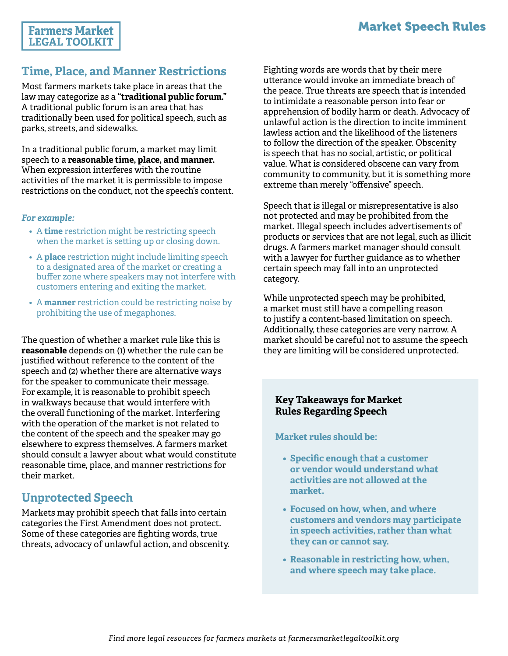### **Farmers Market LEGAL TOOLKIT**

## **Time, Place, and Manner Restrictions**

Most farmers markets take place in areas that the law may categorize as a **"traditional public forum."** A traditional public forum is an area that has traditionally been used for political speech, such as parks, streets, and sidewalks.

In a traditional public forum, a market may limit speech to a **reasonable time, place, and manner.**  When expression interferes with the routine activities of the market it is permissible to impose restrictions on the conduct, not the speech's content.

#### *For example:*

- A **time** restriction might be restricting speech when the market is setting up or closing down.
- A **place** restriction might include limiting speech to a designated area of the market or creating a buffer zone where speakers may not interfere with customers entering and exiting the market.
- A **manner** restriction could be restricting noise by prohibiting the use of megaphones.

The question of whether a market rule like this is **reasonable** depends on (1) whether the rule can be justified without reference to the content of the speech and (2) whether there are alternative ways for the speaker to communicate their message. For example, it is reasonable to prohibit speech in walkways because that would interfere with the overall functioning of the market. Interfering with the operation of the market is not related to the content of the speech and the speaker may go elsewhere to express themselves. A farmers market should consult a lawyer about what would constitute reasonable time, place, and manner restrictions for their market.

## **Unprotected Speech**

Markets may prohibit speech that falls into certain categories the First Amendment does not protect. Some of these categories are fighting words, true threats, advocacy of unlawful action, and obscenity. Fighting words are words that by their mere utterance would invoke an immediate breach of the peace. True threats are speech that is intended to intimidate a reasonable person into fear or apprehension of bodily harm or death. Advocacy of unlawful action is the direction to incite imminent lawless action and the likelihood of the listeners to follow the direction of the speaker. Obscenity is speech that has no social, artistic, or political value. What is considered obscene can vary from community to community, but it is something more extreme than merely "offensive" speech.

Speech that is illegal or misrepresentative is also not protected and may be prohibited from the market. Illegal speech includes advertisements of products or services that are not legal, such as illicit drugs. A farmers market manager should consult with a lawyer for further guidance as to whether certain speech may fall into an unprotected category.

While unprotected speech may be prohibited, a market must still have a compelling reason to justify a content-based limitation on speech. Additionally, these categories are very narrow. A market should be careful not to assume the speech they are limiting will be considered unprotected.

#### **Key Takeaways for Market Rules Regarding Speech**

**Market rules should be:**

- **• Specific enough that a customer or vendor would understand what activities are not allowed at the market.**
- **• Focused on how, when, and where customers and vendors may participate in speech activities, rather than what they can or cannot say.**
- **• Reasonable in restricting how, when, and where speech may take place.**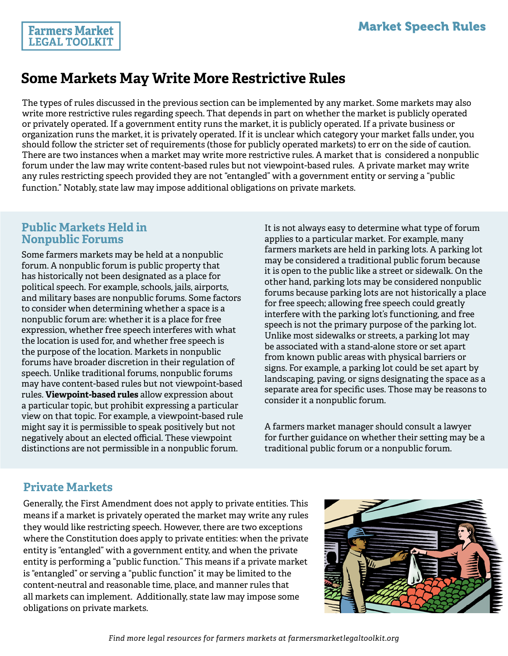# **Some Markets May Write More Restrictive Rules**

The types of rules discussed in the previous section can be implemented by any market. Some markets may also write more restrictive rules regarding speech. That depends in part on whether the market is publicly operated or privately operated. If a government entity runs the market, it is publicly operated. If a private business or organization runs the market, it is privately operated. If it is unclear which category your market falls under, you should follow the stricter set of requirements (those for publicly operated markets) to err on the side of caution. There are two instances when a market may write more restrictive rules. A market that is considered a nonpublic forum under the law may write content-based rules but not viewpoint-based rules. A private market may write any rules restricting speech provided they are not "entangled" with a government entity or serving a "public function." Notably, state law may impose additional obligations on private markets.

#### **Public Markets Held in Nonpublic Forums**

**Farmers Market LEGAL TOOLKIT** 

Some farmers markets may be held at a nonpublic forum. A nonpublic forum is public property that has historically not been designated as a place for political speech. For example, schools, jails, airports, and military bases are nonpublic forums. Some factors to consider when determining whether a space is a nonpublic forum are: whether it is a place for free expression, whether free speech interferes with what the location is used for, and whether free speech is the purpose of the location. Markets in nonpublic forums have broader discretion in their regulation of speech. Unlike traditional forums, nonpublic forums may have content-based rules but not viewpoint-based rules. **Viewpoint-based rules** allow expression about a particular topic, but prohibit expressing a particular view on that topic. For example, a viewpoint-based rule might say it is permissible to speak positively but not negatively about an elected official. These viewpoint distinctions are not permissible in a nonpublic forum.

It is not always easy to determine what type of forum applies to a particular market. For example, many farmers markets are held in parking lots. A parking lot may be considered a traditional public forum because it is open to the public like a street or sidewalk. On the other hand, parking lots may be considered nonpublic forums because parking lots are not historically a place for free speech; allowing free speech could greatly interfere with the parking lot's functioning, and free speech is not the primary purpose of the parking lot. Unlike most sidewalks or streets, a parking lot may be associated with a stand-alone store or set apart from known public areas with physical barriers or signs. For example, a parking lot could be set apart by landscaping, paving, or signs designating the space as a separate area for specific uses. Those may be reasons to consider it a nonpublic forum.

A farmers market manager should consult a lawyer for further guidance on whether their setting may be a traditional public forum or a nonpublic forum.

### **Private Markets**

Generally, the First Amendment does not apply to private entities. This means if a market is privately operated the market may write any rules they would like restricting speech. However, there are two exceptions where the Constitution does apply to private entities: when the private entity is "entangled" with a government entity, and when the private entity is performing a "public function." This means if a private market is "entangled" or serving a "public function" it may be limited to the content-neutral and reasonable time, place, and manner rules that all markets can implement. Additionally, state law may impose some obligations on private markets.

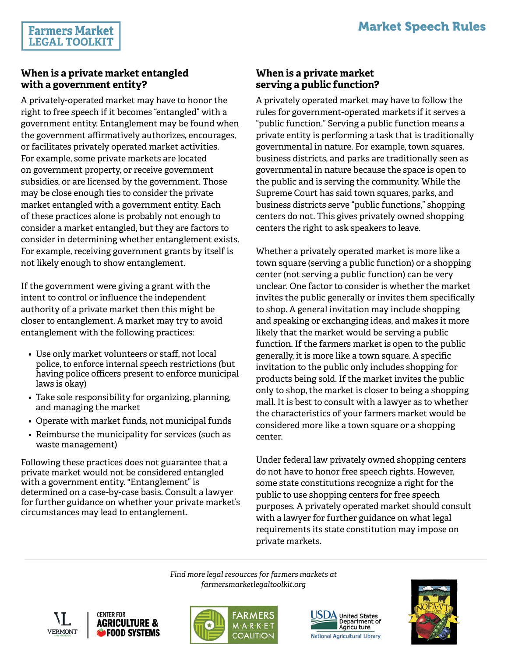#### **When is a private market entangled with a government entity?**

A privately-operated market may have to honor the right to free speech if it becomes "entangled" with a government entity. Entanglement may be found when the government affirmatively authorizes, encourages, or facilitates privately operated market activities. For example, some private markets are located on government property, or receive government subsidies, or are licensed by the government. Those may be close enough ties to consider the private market entangled with a government entity. Each of these practices alone is probably not enough to consider a market entangled, but they are factors to consider in determining whether entanglement exists. For example, receiving government grants by itself is not likely enough to show entanglement.

If the government were giving a grant with the intent to control or influence the independent authority of a private market then this might be closer to entanglement. A market may try to avoid entanglement with the following practices:

- Use only market volunteers or staff, not local police, to enforce internal speech restrictions (but having police officers present to enforce municipal laws is okay)
- Take sole responsibility for organizing, planning, and managing the market
- Operate with market funds, not municipal funds
- Reimburse the municipality for services (such as waste management)

Following these practices does not guarantee that a private market would not be considered entangled with a government entity. "Entanglement" is determined on a case-by-case basis. Consult a lawyer for further guidance on whether your private market's circumstances may lead to entanglement.

### **When is a private market serving a public function?**

A privately operated market may have to follow the rules for government-operated markets if it serves a "public function." Serving a public function means a private entity is performing a task that is traditionally governmental in nature. For example, town squares, business districts, and parks are traditionally seen as governmental in nature because the space is open to the public and is serving the community. While the Supreme Court has said town squares, parks, and business districts serve "public functions," shopping centers do not. This gives privately owned shopping centers the right to ask speakers to leave.

Whether a privately operated market is more like a town square (serving a public function) or a shopping center (not serving a public function) can be very unclear. One factor to consider is whether the market invites the public generally or invites them specifically to shop. A general invitation may include shopping and speaking or exchanging ideas, and makes it more likely that the market would be serving a public function. If the farmers market is open to the public generally, it is more like a town square. A specific invitation to the public only includes shopping for products being sold. If the market invites the public only to shop, the market is closer to being a shopping mall. It is best to consult with a lawyer as to whether the characteristics of your farmers market would be considered more like a town square or a shopping center.

Under federal law privately owned shopping centers do not have to honor free speech rights. However, some state constitutions recognize a right for the public to use shopping centers for free speech purposes. A privately operated market should consult with a lawyer for further guidance on what legal requirements its state constitution may impose on private markets.

*Find more legal resources for farmers markets at farmersmarketlegaltoolkit.org*









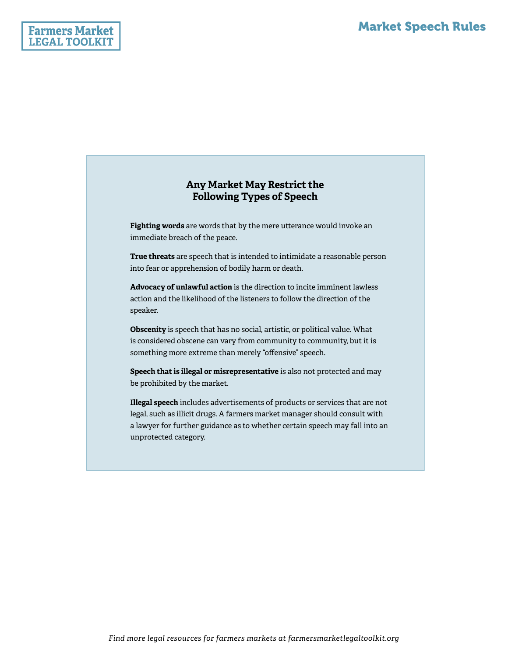#### **Any Market May Restrict the Following Types of Speech**

**Fighting words** are words that by the mere utterance would invoke an immediate breach of the peace.

**True threats** are speech that is intended to intimidate a reasonable person into fear or apprehension of bodily harm or death.

**Advocacy of unlawful action** is the direction to incite imminent lawless action and the likelihood of the listeners to follow the direction of the speaker.

**Obscenity** is speech that has no social, artistic, or political value. What is considered obscene can vary from community to community, but it is something more extreme than merely "offensive" speech.

**Speech that is illegal or misrepresentative** is also not protected and may be prohibited by the market.

**Illegal speech** includes advertisements of products or services that are not legal, such as illicit drugs. A farmers market manager should consult with a lawyer for further guidance as to whether certain speech may fall into an unprotected category.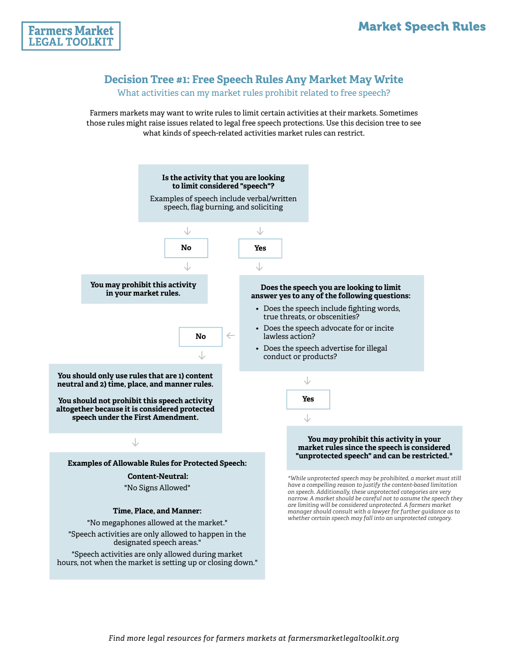

### **Decision Tree #1: Free Speech Rules Any Market May Write**

What activities can my market rules prohibit related to free speech?

Farmers markets may want to write rules to limit certain activities at their markets. Sometimes those rules might raise issues related to legal free speech protections. Use this decision tree to see what kinds of speech-related activities market rules can restrict.